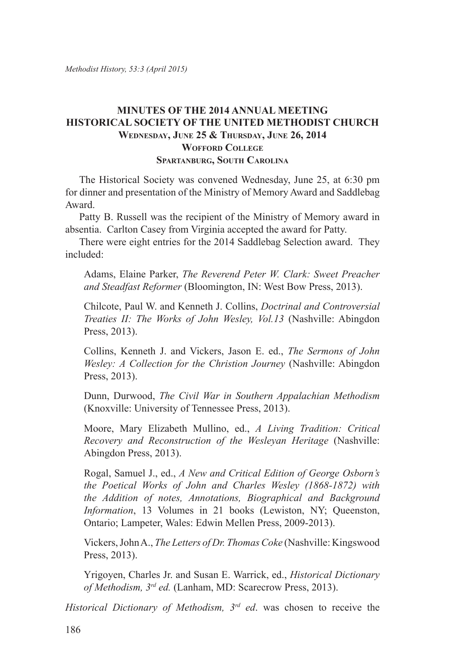### **MINUTES OF THE 2014 ANNUAL MEETING HISTORICAL SOCIETY OF THE UNITED METHODIST CHURCH Wednesday, June 25 & Thursday, June 26, 2014 Wofford College Spartanburg, South Carolina**

The Historical Society was convened Wednesday, June 25, at 6:30 pm for dinner and presentation of the Ministry of Memory Award and Saddlebag Award.

Patty B. Russell was the recipient of the Ministry of Memory award in absentia. Carlton Casey from Virginia accepted the award for Patty.

There were eight entries for the 2014 Saddlebag Selection award. They included:

Adams, Elaine Parker, *The Reverend Peter W. Clark: Sweet Preacher and Steadfast Reformer* (Bloomington, IN: West Bow Press, 2013).

Chilcote, Paul W. and Kenneth J. Collins, *Doctrinal and Controversial Treaties II: The Works of John Wesley, Vol.13* (Nashville: Abingdon Press, 2013).

Collins, Kenneth J. and Vickers, Jason E. ed., *The Sermons of John Wesley: A Collection for the Christion Journey* (Nashville: Abingdon Press, 2013).

Dunn, Durwood, *The Civil War in Southern Appalachian Methodism*  (Knoxville: University of Tennessee Press, 2013).

Moore, Mary Elizabeth Mullino, ed., *A Living Tradition: Critical Recovery and Reconstruction of the Wesleyan Heritage* (Nashville: Abingdon Press, 2013).

Rogal, Samuel J., ed., *A New and Critical Edition of George Osborn's the Poetical Works of John and Charles Wesley (1868-1872) with the Addition of notes, Annotations, Biographical and Background Information*, 13 Volumes in 21 books (Lewiston, NY; Queenston, Ontario; Lampeter, Wales: Edwin Mellen Press, 2009-2013).

Vickers, John A., *The Letters of Dr. Thomas Coke* (Nashville: Kingswood Press, 2013).

Yrigoyen, Charles Jr. and Susan E. Warrick, ed., *Historical Dictionary of Methodism, 3rd ed.* (Lanham, MD: Scarecrow Press, 2013).

*Historical Dictionary of Methodism, 3rd ed*. was chosen to receive the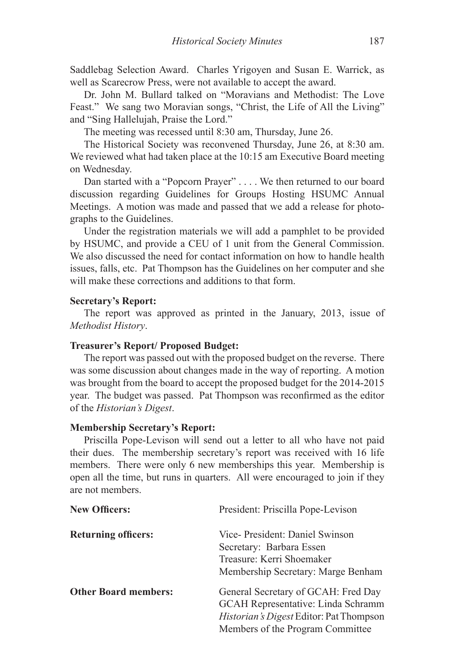Saddlebag Selection Award. Charles Yrigoyen and Susan E. Warrick, as well as Scarecrow Press, were not available to accept the award.

Dr. John M. Bullard talked on "Moravians and Methodist: The Love Feast." We sang two Moravian songs, "Christ, the Life of All the Living" and "Sing Hallelujah, Praise the Lord."

The meeting was recessed until 8:30 am, Thursday, June 26.

The Historical Society was reconvened Thursday, June 26, at 8:30 am. We reviewed what had taken place at the 10:15 am Executive Board meeting on Wednesday.

Dan started with a "Popcorn Prayer" . . . . We then returned to our board discussion regarding Guidelines for Groups Hosting HSUMC Annual Meetings. A motion was made and passed that we add a release for photographs to the Guidelines.

Under the registration materials we will add a pamphlet to be provided by HSUMC, and provide a CEU of 1 unit from the General Commission. We also discussed the need for contact information on how to handle health issues, falls, etc. Pat Thompson has the Guidelines on her computer and she will make these corrections and additions to that form.

#### **Secretary's Report:**

The report was approved as printed in the January, 2013, issue of *Methodist History*.

#### **Treasurer's Report/ Proposed Budget:**

The report was passed out with the proposed budget on the reverse. There was some discussion about changes made in the way of reporting. A motion was brought from the board to accept the proposed budget for the 2014-2015 year. The budget was passed. Pat Thompson was reconfirmed as the editor of the *Historian's Digest*.

#### **Membership Secretary's Report:**

Priscilla Pope-Levison will send out a letter to all who have not paid their dues. The membership secretary's report was received with 16 life members. There were only 6 new memberships this year. Membership is open all the time, but runs in quarters. All were encouraged to join if they are not members.

| <b>New Officers:</b>        | President: Priscilla Pope-Levison<br>Vice-President: Daniel Swinson<br>Secretary: Barbara Essen<br>Treasure: Kerri Shoemaker<br>Membership Secretary: Marge Benham |  |
|-----------------------------|--------------------------------------------------------------------------------------------------------------------------------------------------------------------|--|
| <b>Returning officers:</b>  |                                                                                                                                                                    |  |
| <b>Other Board members:</b> | General Secretary of GCAH: Fred Day<br>GCAH Representative: Linda Schramm<br>Historian's Digest Editor: Pat Thompson<br>Members of the Program Committee           |  |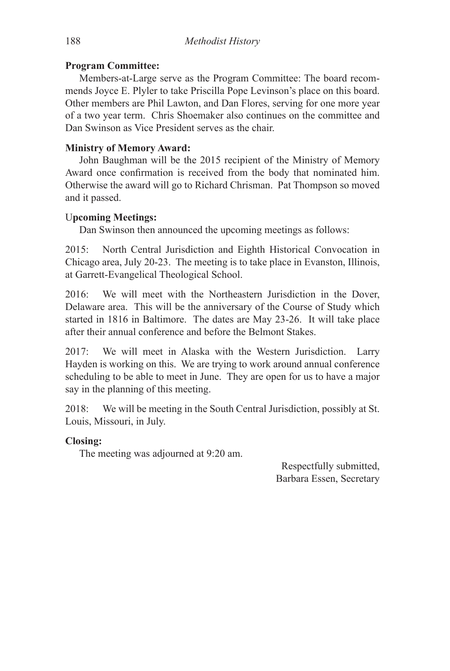### **Program Committee:**

Members-at-Large serve as the Program Committee: The board recommends Joyce E. Plyler to take Priscilla Pope Levinson's place on this board. Other members are Phil Lawton, and Dan Flores, serving for one more year of a two year term. Chris Shoemaker also continues on the committee and Dan Swinson as Vice President serves as the chair.

# **Ministry of Memory Award:**

John Baughman will be the 2015 recipient of the Ministry of Memory Award once confirmation is received from the body that nominated him. Otherwise the award will go to Richard Chrisman. Pat Thompson so moved and it passed.

# U**pcoming Meetings:**

Dan Swinson then announced the upcoming meetings as follows:

2015: North Central Jurisdiction and Eighth Historical Convocation in Chicago area, July 20-23. The meeting is to take place in Evanston, Illinois, at Garrett-Evangelical Theological School.

2016: We will meet with the Northeastern Jurisdiction in the Dover, Delaware area. This will be the anniversary of the Course of Study which started in 1816 in Baltimore. The dates are May 23-26. It will take place after their annual conference and before the Belmont Stakes.

2017: We will meet in Alaska with the Western Jurisdiction. Larry Hayden is working on this. We are trying to work around annual conference scheduling to be able to meet in June. They are open for us to have a major say in the planning of this meeting.

2018: We will be meeting in the South Central Jurisdiction, possibly at St. Louis, Missouri, in July.

# **Closing:**

The meeting was adjourned at 9:20 am.

Respectfully submitted, Barbara Essen, Secretary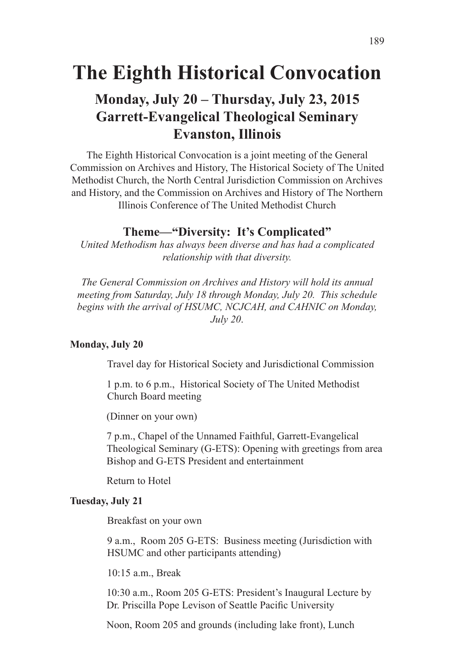# **The Eighth Historical Convocation**

# **Monday, July 20 – Thursday, July 23, 2015 Garrett-Evangelical Theological Seminary Evanston, Illinois**

The Eighth Historical Convocation is a joint meeting of the General Commission on Archives and History, The Historical Society of The United Methodist Church, the North Central Jurisdiction Commission on Archives and History, and the Commission on Archives and History of The Northern Illinois Conference of The United Methodist Church

# **Theme—"Diversity: It's Complicated"**

*United Methodism has always been diverse and has had a complicated relationship with that diversity.*

*The General Commission on Archives and History will hold its annual meeting from Saturday, July 18 through Monday, July 20. This schedule begins with the arrival of HSUMC, NCJCAH, and CAHNIC on Monday, July 20*.

#### **Monday, July 20**

Travel day for Historical Society and Jurisdictional Commission

1 p.m. to 6 p.m., Historical Society of The United Methodist Church Board meeting

(Dinner on your own)

7 p.m., Chapel of the Unnamed Faithful, Garrett-Evangelical Theological Seminary (G-ETS): Opening with greetings from area Bishop and G-ETS President and entertainment

Return to Hotel

#### **Tuesday, July 21**

Breakfast on your own

9 a.m., Room 205 G-ETS: Business meeting (Jurisdiction with HSUMC and other participants attending)

10:15 a.m., Break

10:30 a.m., Room 205 G-ETS: President's Inaugural Lecture by Dr. Priscilla Pope Levison of Seattle Pacific University

Noon, Room 205 and grounds (including lake front), Lunch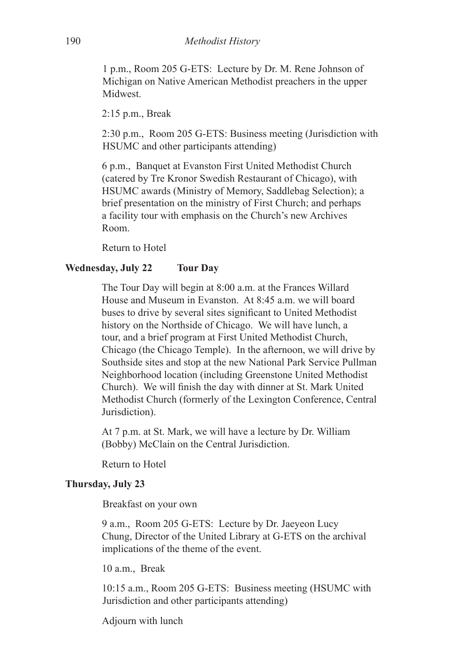1 p.m., Room 205 G-ETS: Lecture by Dr. M. Rene Johnson of Michigan on Native American Methodist preachers in the upper **Midwest** 

2:15 p.m., Break

2:30 p.m., Room 205 G-ETS: Business meeting (Jurisdiction with HSUMC and other participants attending)

6 p.m., Banquet at Evanston First United Methodist Church (catered by Tre Kronor Swedish Restaurant of Chicago), with HSUMC awards (Ministry of Memory, Saddlebag Selection); a brief presentation on the ministry of First Church; and perhaps a facility tour with emphasis on the Church's new Archives Room.

Return to Hotel

### **Wednesday, July 22 Tour Day**

The Tour Day will begin at 8:00 a.m. at the Frances Willard House and Museum in Evanston. At 8:45 a.m. we will board buses to drive by several sites significant to United Methodist history on the Northside of Chicago. We will have lunch, a tour, and a brief program at First United Methodist Church, Chicago (the Chicago Temple). In the afternoon, we will drive by Southside sites and stop at the new National Park Service Pullman Neighborhood location (including Greenstone United Methodist Church). We will finish the day with dinner at St. Mark United Methodist Church (formerly of the Lexington Conference, Central Jurisdiction).

At 7 p.m. at St. Mark, we will have a lecture by Dr. William (Bobby) McClain on the Central Jurisdiction.

Return to Hotel

#### **Thursday, July 23**

Breakfast on your own

9 a.m., Room 205 G-ETS: Lecture by Dr. Jaeyeon Lucy Chung, Director of the United Library at G-ETS on the archival implications of the theme of the event.

10 a.m., Break

10:15 a.m., Room 205 G-ETS: Business meeting (HSUMC with Jurisdiction and other participants attending)

Adjourn with lunch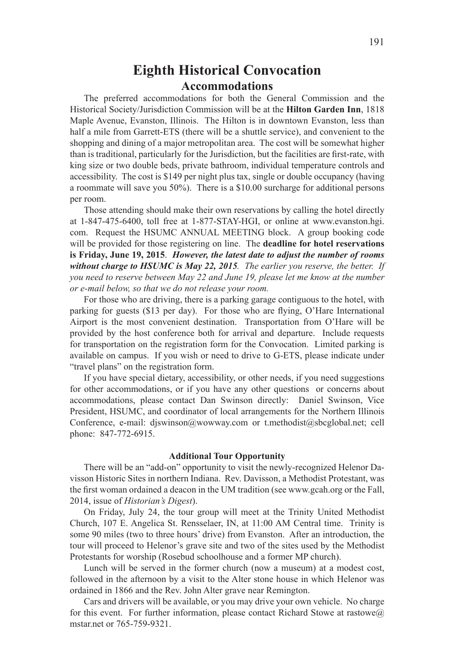# **Eighth Historical Convocation Accommodations**

The preferred accommodations for both the General Commission and the Historical Society/Jurisdiction Commission will be at the **Hilton Garden Inn**, 1818 Maple Avenue, Evanston, Illinois. The Hilton is in downtown Evanston, less than half a mile from Garrett-ETS (there will be a shuttle service), and convenient to the shopping and dining of a major metropolitan area. The cost will be somewhat higher than is traditional, particularly for the Jurisdiction, but the facilities are first-rate, with king size or two double beds, private bathroom, individual temperature controls and accessibility. The cost is \$149 per night plus tax, single or double occupancy (having a roommate will save you 50%). There is a \$10.00 surcharge for additional persons per room.

Those attending should make their own reservations by calling the hotel directly at 1-847-475-6400, toll free at 1-877-STAY-HGI, or online at www.evanston.hgi. com. Request the HSUMC ANNUAL MEETING block. A group booking code will be provided for those registering on line. The **deadline for hotel reservations is Friday, June 19, 2015**. *However, the latest date to adjust the number of rooms without charge to HSUMC is May 22, 2015. The earlier you reserve, the better. If you need to reserve between May 22 and June 19, please let me know at the number or e-mail below, so that we do not release your room.*

For those who are driving, there is a parking garage contiguous to the hotel, with parking for guests (\$13 per day). For those who are flying, O'Hare International Airport is the most convenient destination. Transportation from O'Hare will be provided by the host conference both for arrival and departure. Include requests for transportation on the registration form for the Convocation. Limited parking is available on campus. If you wish or need to drive to G-ETS, please indicate under "travel plans" on the registration form.

If you have special dietary, accessibility, or other needs, if you need suggestions for other accommodations, or if you have any other questions or concerns about accommodations, please contact Dan Swinson directly: Daniel Swinson, Vice President, HSUMC, and coordinator of local arrangements for the Northern Illinois Conference, e-mail: djswinson@wowway.com or t.methodist@sbcglobal.net; cell phone: 847-772-6915.

#### **Additional Tour Opportunity**

There will be an "add-on" opportunity to visit the newly-recognized Helenor Davisson Historic Sites in northern Indiana. Rev. Davisson, a Methodist Protestant, was the first woman ordained a deacon in the UM tradition (see www.gcah.org or the Fall, 2014, issue of *Historian's Digest*).

On Friday, July 24, the tour group will meet at the Trinity United Methodist Church, 107 E. Angelica St. Rensselaer, IN, at 11:00 AM Central time. Trinity is some 90 miles (two to three hours' drive) from Evanston. After an introduction, the tour will proceed to Helenor's grave site and two of the sites used by the Methodist Protestants for worship (Rosebud schoolhouse and a former MP church).

Lunch will be served in the former church (now a museum) at a modest cost, followed in the afternoon by a visit to the Alter stone house in which Helenor was ordained in 1866 and the Rev. John Alter grave near Remington.

Cars and drivers will be available, or you may drive your own vehicle. No charge for this event. For further information, please contact Richard Stowe at rastowe $\omega$ mstar.net or 765-759-9321.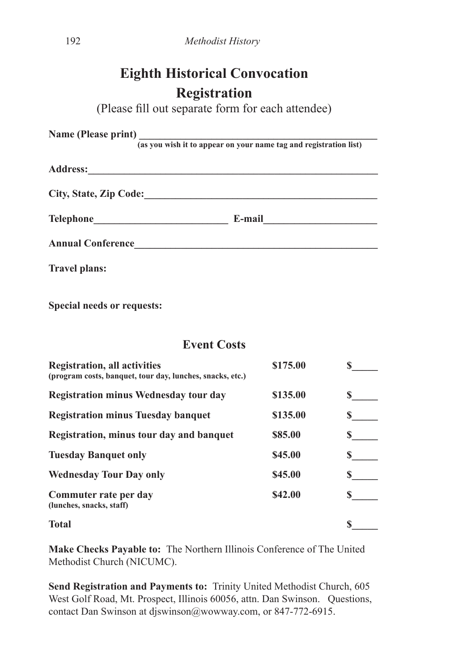# **Eighth Historical Convocation Registration**

(Please fill out separate form for each attendee)

| (as you wish it to appear on your name tag and registration list) |                      |  |  |
|-------------------------------------------------------------------|----------------------|--|--|
|                                                                   |                      |  |  |
|                                                                   |                      |  |  |
|                                                                   | E-mail <u>______</u> |  |  |
| <b>Annual Conference</b>                                          |                      |  |  |
| <b>Travel plans:</b>                                              |                      |  |  |
|                                                                   |                      |  |  |

**Special needs or requests:**

# **Event Costs**

| <b>Registration, all activities</b><br>(program costs, banquet, tour day, lunches, snacks, etc.) | \$175.00 |   |
|--------------------------------------------------------------------------------------------------|----------|---|
| <b>Registration minus Wednesday tour day</b>                                                     | \$135.00 | S |
| <b>Registration minus Tuesday banquet</b>                                                        | \$135.00 |   |
| Registration, minus tour day and banquet                                                         | \$85.00  |   |
| <b>Tuesday Banquet only</b>                                                                      | \$45.00  |   |
| <b>Wednesday Tour Day only</b>                                                                   | \$45.00  |   |
| Commuter rate per day<br>(lunches, snacks, staff)                                                | \$42.00  |   |
| <b>Total</b>                                                                                     |          |   |

**Make Checks Payable to:** The Northern Illinois Conference of The United Methodist Church (NICUMC).

**Send Registration and Payments to:** Trinity United Methodist Church, 605 West Golf Road, Mt. Prospect, Illinois 60056, attn. Dan Swinson. Questions, contact Dan Swinson at djswinson@wowway.com, or 847-772-6915.